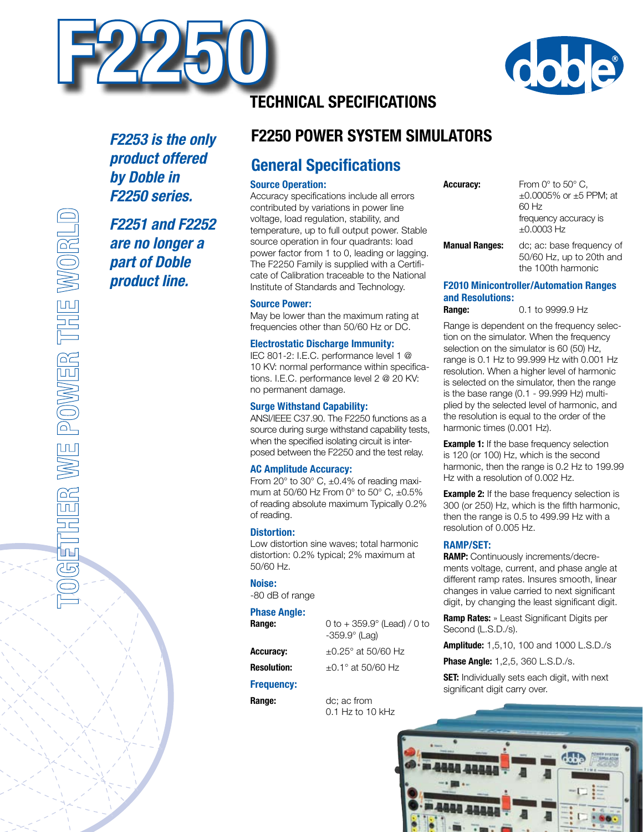



*F2253 is the only product offered by Doble in F2250 series.*

*F2251 and F2252 are no longer a part of Doble product line.*

# **Technical Specifications**

# **F2250 Power System Simulators**

# **General Specifications**

### **Source Operation:**

Accuracy specifications include all errors contributed by variations in power line voltage, load regulation, stability, and temperature, up to full output power. Stable source operation in four quadrants: load power factor from 1 to 0, leading or lagging. The F2250 Family is supplied with a Certificate of Calibration traceable to the National Institute of Standards and Technology.

#### **Source Power:**

May be lower than the maximum rating at frequencies other than 50/60 Hz or DC.

#### **Electrostatic Discharge Immunity:**

IEC 801-2: I.E.C. performance level 1 @ 10 KV: normal performance within specifications. I.E.C. performance level 2 @ 20 KV: no permanent damage.

#### **Surge Withstand Capability:**

ANSI/IEEE C37.90. The F2250 functions as a source during surge withstand capability tests, when the specified isolating circuit is interposed between the F2250 and the test relay.

#### **AC Amplitude Accuracy:**

From 20° to 30° C, ±0.4% of reading maximum at 50/60 Hz From  $0^{\circ}$  to 50 $^{\circ}$  C,  $\pm 0.5\%$ of reading absolute maximum Typically 0.2% of reading.

#### **Distortion:**

Low distortion sine waves; total harmonic distortion: 0.2% typical; 2% maximum at 50/60 Hz.

#### **Noise:**

-80 dB of range

#### **Phase Angle:**

| Range:             | 0 to $+359.9^{\circ}$ (Lead) / 0 to<br>$-359.9^\circ$ (Lag) |
|--------------------|-------------------------------------------------------------|
| <b>Accuracy:</b>   | $\pm 0.25^{\circ}$ at 50/60 Hz                              |
| <b>Resolution:</b> | $+0.1^{\circ}$ at 50/60 Hz                                  |

### **Resolution: Frequency:**

**Range:** dc; ac from 0.1 Hz to 10 kHz

**Accuracy:** From 0° to 50° C, ±0.0005% or ±5 PPM; at 60 Hz frequency accuracy is ±0.0003 Hz

**Manual Ranges:** dc; ac: base frequency of 50/60 Hz, up to 20th and the 100th harmonic

### **F2010 Minicontroller/Automation Ranges and Resolutions:**

**Range:** 0.1 to 9999.9 Hz

Range is dependent on the frequency selection on the simulator. When the frequency selection on the simulator is 60 (50) Hz, range is 0.1 Hz to 99.999 Hz with 0.001 Hz resolution. When a higher level of harmonic is selected on the simulator, then the range is the base range (0.1 - 99.999 Hz) multiplied by the selected level of harmonic, and the resolution is equal to the order of the harmonic times (0.001 Hz).

**Example 1:** If the base frequency selection is 120 (or 100) Hz, which is the second harmonic, then the range is 0.2 Hz to 199.99 Hz with a resolution of 0.002 Hz.

**Example 2:** If the base frequency selection is 300 (or 250) Hz, which is the fifth harmonic, then the range is 0.5 to 499.99 Hz with a resolution of 0.005 Hz.

### **RAMP/SET:**

**RAMP:** Continuously increments/decrements voltage, current, and phase angle at different ramp rates. Insures smooth, linear changes in value carried to next significant digit, by changing the least significant digit.

**Ramp Rates:** » Least Significant Digits per Second (L.S.D./s).

**Amplitude:** 1,5,10, 100 and 1000 L.S.D./s

**Phase Angle:** 1,2,5, 360 L.S.D./s.

**SET:** Individually sets each digit, with next significant digit carry over.

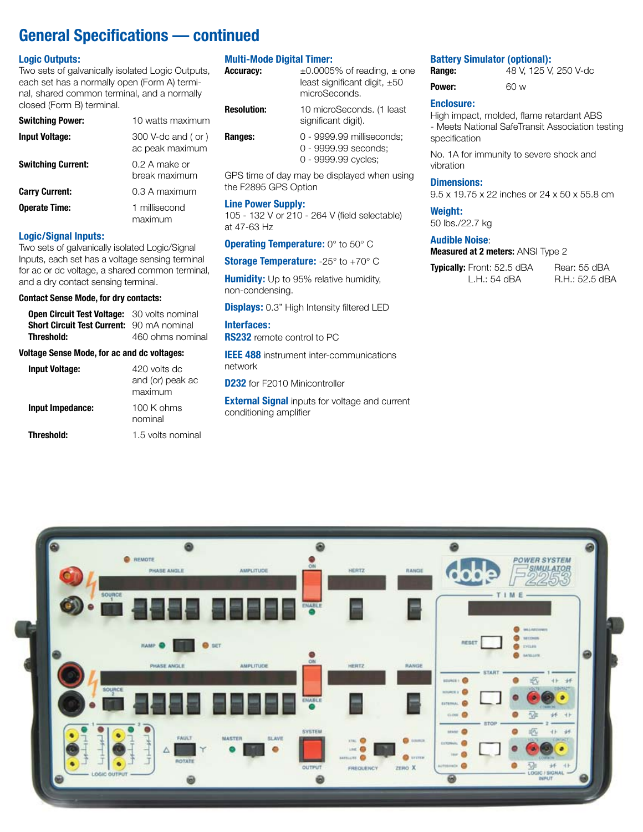# **General Specifications — continued**

### **Logic Outputs:**

Two sets of galvanically isolated Logic Outputs, each set has a normally open (Form A) terminal, shared common terminal, and a normally closed (Form B) terminal.

| <b>Switching Power:</b>   | 10 watts maximum               |
|---------------------------|--------------------------------|
| <b>Input Voltage:</b>     | $300$ V-dc and (or)            |
|                           | ac peak maximum                |
| <b>Switching Current:</b> | 0.2 A make or<br>break maximum |
| <b>Carry Current:</b>     | 0.3 A maximum                  |
| <b>Operate Time:</b>      | 1 millisecond<br>maximum       |

#### **Logic/Signal Inputs:**

Two sets of galvanically isolated Logic/Signal Inputs, each set has a voltage sensing terminal for ac or dc voltage, a shared common terminal, and a dry contact sensing terminal.

#### **Contact Sense Mode, for dry contacts:**

| <b>Open Circuit Test Voltage:</b><br><b>Short Circuit Test Current:</b> 90 mA nominal<br>Threshold: | 30 volts nominal<br>460 ohms nominal        |
|-----------------------------------------------------------------------------------------------------|---------------------------------------------|
| Voltage Sense Mode, for ac and dc voltages:                                                         |                                             |
| <b>Input Voltage:</b>                                                                               | 420 volts dc<br>and (or) peak ac<br>maximum |
| Input Impedance:                                                                                    | $100$ K ohms<br>nominal                     |
| Threshold:                                                                                          | 1.5 volts nominal                           |

#### **Multi-Mode Digital Timer:**

| <b>Accuracy:</b>   | $\pm 0.0005\%$ of reading, $\pm$ one<br>least significant digit, $\pm 50$<br>microSeconds. |
|--------------------|--------------------------------------------------------------------------------------------|
| <b>Resolution:</b> | 10 microSeconds. (1 least<br>significant digit).                                           |
| Ranges:            | 0 - 9999.99 milliseconds;<br>0 - 9999.99 seconds:<br>0 - 9999.99 cycles;                   |
|                    |                                                                                            |

GPS time of day may be displayed when using the F2895 GPS Option

### **Line Power Supply:**

105 - 132 V or 210 - 264 V (field selectable) at 47-63 Hz

#### **Operating Temperature:** 0° to 50° C

**Storage Temperature:** -25° to +70° C

**Humidity:** Up to 95% relative humidity, non-condensing.

**Displays:** 0.3" High Intensity filtered LED

**Interfaces: RS232** remote control to PC

**IEEE 488** instrument inter-communications network

**D232** for F2010 Minicontroller

**External Signal** inputs for voltage and current conditioning amplifier

# **Battery Simulator (optional):**<br>**Range:** 48 V, 125 V.

| Range: | 48 V, 125 V, 250 V-dc |
|--------|-----------------------|
| Power: | 60 w                  |

### **Enclosure:**

High impact, molded, flame retardant ABS - Meets National SafeTransit Association testing specification

No. 1A for immunity to severe shock and vibration

#### **Dimensions:**

9.5 x 19.75 x 22 inches or 24 x 50 x 55.8 cm

#### **Weight:**

50 lbs./22.7 kg

### **Audible Noise**:

**Measured at 2 meters:** ANSI Type 2

**Typically:** Front: 52.5 dBA Rear: 55 dBA<br>L.H.: 54 dBA R.H.: 52.5 dB

R.H.: 52.5 dBA

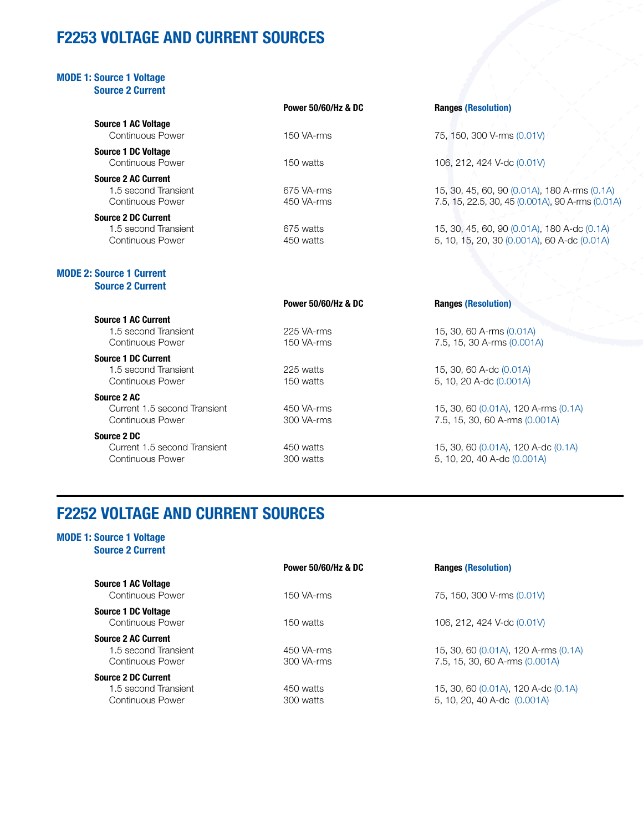# **F2253 VOLTAGE AND CURRENT SOURCES**

| <b>MODE 1: Source 1 Voltage</b><br><b>Source 2 Current</b>                    |                                |                                                                                                  |
|-------------------------------------------------------------------------------|--------------------------------|--------------------------------------------------------------------------------------------------|
|                                                                               | <b>Power 50/60/Hz &amp; DC</b> | <b>Ranges (Resolution)</b>                                                                       |
| <b>Source 1 AC Voltage</b><br><b>Continuous Power</b>                         | 150 VA-rms                     | 75, 150, 300 V-rms (0.01V)                                                                       |
| <b>Source 1 DC Voltage</b><br><b>Continuous Power</b>                         | 150 watts                      | 106, 212, 424 V-dc (0.01V)                                                                       |
| <b>Source 2 AC Current</b><br>1.5 second Transient<br>Continuous Power        | 675 VA-rms<br>450 VA-rms       | 15, 30, 45, 60, 90 (0.01A), 180 A-rms (0.1A)<br>7.5, 15, 22.5, 30, 45 (0.001A), 90 A-rms (0.01A) |
| <b>Source 2 DC Current</b><br>1.5 second Transient<br><b>Continuous Power</b> | 675 watts<br>450 watts         | 15, 30, 45, 60, 90 (0.01A), 180 A-dc (0.1A)<br>5, 10, 15, 20, 30 (0.001A), 60 A-dc (0.01A)       |
| <b>MODE 2: Source 1 Current</b><br><b>Source 2 Current</b>                    |                                |                                                                                                  |
|                                                                               | Power 50/60/Hz & DC            | <b>Ranges (Resolution)</b>                                                                       |
| <b>Source 1 AC Current</b><br>1.5 second Transient<br><b>Continuous Power</b> | 225 VA-rms<br>150 VA-rms       | 15, 30, 60 A-rms (0.01A)<br>7.5, 15, 30 A-rms (0.001A)                                           |
| <b>Source 1 DC Current</b><br>1.5 second Transient<br><b>Continuous Power</b> | 225 watts<br>150 watts         | 15, 30, 60 A-dc (0.01A)<br>5, 10, 20 A-dc (0.001A)                                               |
| Source 2 AC<br>Current 1.5 second Transient<br><b>Continuous Power</b>        | 450 VA-rms<br>300 VA-rms       | 15, 30, 60 (0.01A), 120 A-rms (0.1A)<br>7.5, 15, 30, 60 A-rms (0.001A)                           |
| Source 2 DC<br>Current 1.5 second Transient<br><b>Continuous Power</b>        | 450 watts<br>300 watts         | 15, 30, 60 (0.01A), 120 A-dc (0.1A)<br>5, 10, 20, 40 A-dc (0.001A)                               |

## **F2252 VOLTAGE AND CURRENT SOURCES**

### **MODE 1: Source 1 Voltage Source 2 Current**

|                                                                               | <b>Power 50/60/Hz &amp; DC</b> | <b>Ranges (Resolution)</b>                                             |
|-------------------------------------------------------------------------------|--------------------------------|------------------------------------------------------------------------|
| <b>Source 1 AC Voltage</b><br>Continuous Power                                | 150 VA-rms                     | 75, 150, 300 V-rms (0.01V)                                             |
| <b>Source 1 DC Voltage</b><br>Continuous Power                                | 150 watts                      | 106, 212, 424 V-dc (0.01V)                                             |
| <b>Source 2 AC Current</b><br>1.5 second Transient<br>Continuous Power        | 450 VA-rms<br>300 VA-rms       | 15, 30, 60 (0.01A), 120 A-rms (0.1A)<br>7.5, 15, 30, 60 A-rms (0.001A) |
| <b>Source 2 DC Current</b><br>1.5 second Transient<br><b>Continuous Power</b> | 450 watts<br>300 watts         | 15, 30, 60 (0.01A), 120 A-dc (0.1A)<br>5, 10, 20, 40 A-dc (0.001A)     |